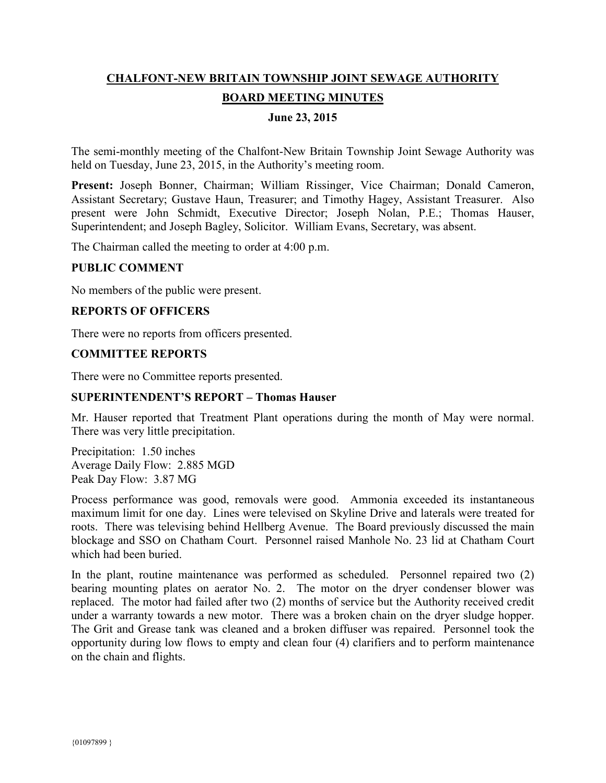# **CHALFONT-NEW BRITAIN TOWNSHIP JOINT SEWAGE AUTHORITY BOARD MEETING MINUTES**

# **June 23, 2015**

The semi-monthly meeting of the Chalfont-New Britain Township Joint Sewage Authority was held on Tuesday, June 23, 2015, in the Authority's meeting room.

**Present:** Joseph Bonner, Chairman; William Rissinger, Vice Chairman; Donald Cameron, Assistant Secretary; Gustave Haun, Treasurer; and Timothy Hagey, Assistant Treasurer. Also present were John Schmidt, Executive Director; Joseph Nolan, P.E.; Thomas Hauser, Superintendent; and Joseph Bagley, Solicitor. William Evans, Secretary, was absent.

The Chairman called the meeting to order at 4:00 p.m.

## **PUBLIC COMMENT**

No members of the public were present.

## **REPORTS OF OFFICERS**

There were no reports from officers presented.

## **COMMITTEE REPORTS**

There were no Committee reports presented.

## **SUPERINTENDENT'S REPORT – Thomas Hauser**

Mr. Hauser reported that Treatment Plant operations during the month of May were normal. There was very little precipitation.

Precipitation: 1.50 inches Average Daily Flow: 2.885 MGD Peak Day Flow: 3.87 MG

Process performance was good, removals were good. Ammonia exceeded its instantaneous maximum limit for one day. Lines were televised on Skyline Drive and laterals were treated for roots. There was televising behind Hellberg Avenue. The Board previously discussed the main blockage and SSO on Chatham Court. Personnel raised Manhole No. 23 lid at Chatham Court which had been buried.

In the plant, routine maintenance was performed as scheduled. Personnel repaired two (2) bearing mounting plates on aerator No. 2. The motor on the dryer condenser blower was replaced. The motor had failed after two (2) months of service but the Authority received credit under a warranty towards a new motor. There was a broken chain on the dryer sludge hopper. The Grit and Grease tank was cleaned and a broken diffuser was repaired. Personnel took the opportunity during low flows to empty and clean four (4) clarifiers and to perform maintenance on the chain and flights.